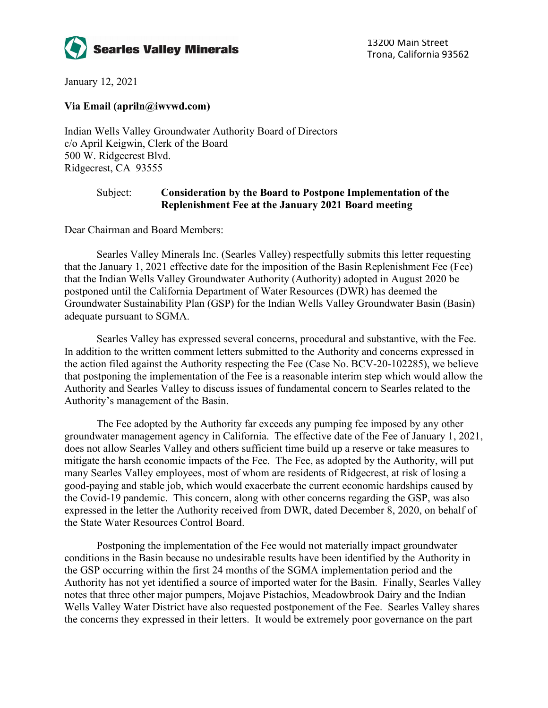

January 12, 2021

## **Via Email (apriln@iwvwd.com)**

Indian Wells Valley Groundwater Authority Board of Directors c/o April Keigwin, Clerk of the Board 500 W. Ridgecrest Blvd. Ridgecrest, CA 93555

## Subject: **Consideration by the Board to Postpone Implementation of the Replenishment Fee at the January 2021 Board meeting**

Dear Chairman and Board Members:

Searles Valley Minerals Inc. (Searles Valley) respectfully submits this letter requesting that the January 1, 2021 effective date for the imposition of the Basin Replenishment Fee (Fee) that the Indian Wells Valley Groundwater Authority (Authority) adopted in August 2020 be postponed until the California Department of Water Resources (DWR) has deemed the Groundwater Sustainability Plan (GSP) for the Indian Wells Valley Groundwater Basin (Basin) adequate pursuant to SGMA.

Searles Valley has expressed several concerns, procedural and substantive, with the Fee. In addition to the written comment letters submitted to the Authority and concerns expressed in the action filed against the Authority respecting the Fee (Case No. BCV-20-102285), we believe that postponing the implementation of the Fee is a reasonable interim step which would allow the Authority and Searles Valley to discuss issues of fundamental concern to Searles related to the Authority's management of the Basin.

The Fee adopted by the Authority far exceeds any pumping fee imposed by any other groundwater management agency in California. The effective date of the Fee of January 1, 2021, does not allow Searles Valley and others sufficient time build up a reserve or take measures to mitigate the harsh economic impacts of the Fee. The Fee, as adopted by the Authority, will put many Searles Valley employees, most of whom are residents of Ridgecrest, at risk of losing a good-paying and stable job, which would exacerbate the current economic hardships caused by the Covid-19 pandemic. This concern, along with other concerns regarding the GSP, was also expressed in the letter the Authority received from DWR, dated December 8, 2020, on behalf of the State Water Resources Control Board.

Postponing the implementation of the Fee would not materially impact groundwater conditions in the Basin because no undesirable results have been identified by the Authority in the GSP occurring within the first 24 months of the SGMA implementation period and the Authority has not yet identified a source of imported water for the Basin. Finally, Searles Valley notes that three other major pumpers, Mojave Pistachios, Meadowbrook Dairy and the Indian Wells Valley Water District have also requested postponement of the Fee. Searles Valley shares the concerns they expressed in their letters. It would be extremely poor governance on the part